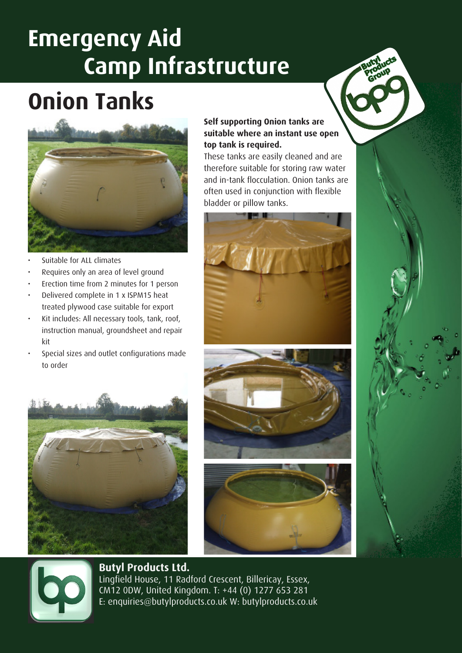### **Emergency Aid Camp Infrastructure**

## **Onion Tanks**



- Suitable for ALL climates
- Requires only an area of level ground
- Erection time from 2 minutes for 1 person
- Delivered complete in 1 x ISPM15 heat treated plywood case suitable for export
- Kit includes: All necessary tools, tank, roof, instruction manual, groundsheet and repair kit
- Special sizes and outlet configurations made to order



#### **Self supporting Onion tanks are suitable where an instant use open top tank is required.**

These tanks are easily cleaned and are therefore suitable for storing raw water and in-tank flocculation. Onion tanks are often used in conjunction with flexible bladder or pillow tanks.









### **Butyl Products Ltd.**

Lingfield House, 11 Radford Crescent, Billericay, Essex, CM12 0DW, United Kingdom. T: +44 (0) 1277 653 281 E: enquiries@butylproducts.co.uk W: butylproducts.co.uk